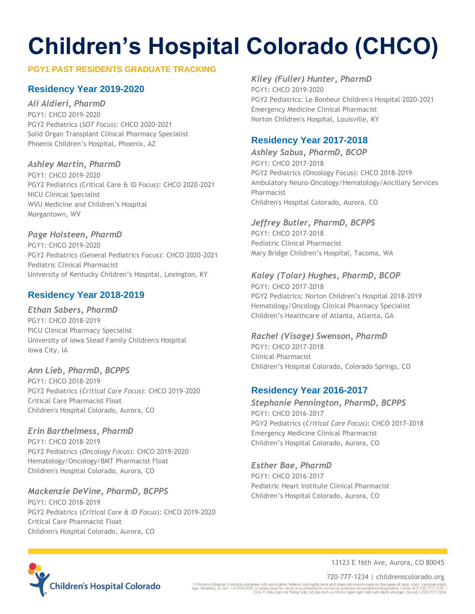### **PGY1 PAST RESIDENTS GRADUATE TRACKING**

# **Residency Year 2019-2020**

*Ali Aldieri, PharmD* 

PGY1: CHCO 2019-2020 PGY2 Pediatrics (*SOT Focus*): CHCO 2020-2021 Solid Organ Transplant Clinical Pharmacy Specialist Phoenix Children's Hospital, Phoenix, AZ

### *Ashley Martin, PharmD*

PGY1: CHCO 2019-2020 PGY2 Pediatrics (Critical Care & ID Focus): CHCO 2020-2021 NICU Clinical Specialist WVU Medicine and Children's Hospital Morgantown, WV

### *Page Holsteen, PharmD*

PGY1: CHCO 2019-2020 PGY2 Pediatrics (General Pediatrics Focus): CHCO 2020-2021 Pediatric Clinical Pharmacist University of Kentucky Children's Hospital, Lexington, KY

# **Residency Year 2018-2019**

### *Ethan Sabers, PharmD*

PGY1: CHCO 2018-2019 PICU Clinical Pharmacy Specialist University of Iowa Stead Family Children's Hospital Iowa City, IA

### *Ann Lieb, PharmD, BCPPS*

PGY1: CHCO 2018-2019 PGY2 Pediatrics (*Critical Care Focus*): CHCO 2019-2020 Critical Care Pharmacist Float Children's Hospital Colorado, Aurora, CO

### *Erin Barthelmess, PharmD*

PGY1: CHCO 2018-2019 PGY2 Pediatrics (*Oncology Focus*): CHCO 2019-2020 Hematology/Oncology/BMT Pharmacist Float Children's Hospital Colorado, Aurora, CO

### *Mackenzie DeVine, PharmD, BCPPS*

PGY1: CHCO 2018-2019 PGY2 Pediatrics (*Critical Care & ID Focus*): CHCO 2019-2020 Critical Care Pharmacist Float Children's Hospital Colorado, Aurora, CO

# *Kiley (Fuller) Hunter, PharmD*

PGY1: CHCO 2019-2020 PGY2 Pediatrics: Le Bonheur Children's Hospital 2020-2021 Emergency Medicine Clinical Pharmacist Norton Children's Hospital, Louisville, KY

# **Residency Year 2017-2018**

*Ashley Sabus, PharmD, BCOP* PGY1: CHCO 2017-2018 PGY2 Pediatrics (Oncology Focus): CHCO 2018-2019 Ambulatory Neuro-Oncology/Hematology/Ancillary Services Pharmacist Children's Hospital Colorado, Aurora, CO

### *Jeffrey Butler, PharmD, BCPPS*

PGY1: CHCO 2017-2018 Pediatric Clinical Pharmacist Mary Bridge Children's Hospital, Tacoma, WA

### *Kaley (Tolar) Hughes, PharmD, BCOP*

PGY1: CHCO 2017-2018 PGY2 Pediatrics: Norton Children's Hospital 2018-2019 Hematology/Oncology Clinical Pharmacy Specialist Children's Healthcare of Atlanta, Atlanta, GA

### *Rachel (Visage) Swenson, PharmD*

PGY1: CHCO 2017-2018 Clinical Pharmacist Children's Hospital Colorado, Colorado Springs, CO

# **Residency Year 2016-2017**

*Stephanie Pennington, PharmD, BCPPS* PGY1: CHCO 2016-2017 PGY2 Pediatrics (*Critical Care Focus*): CHCO 2017-2018 Emergency Medicine Clinical Pharmacist Children's Hospital Colorado, Aurora, CO

### *Esther Bae, PharmD*

PGY1: CHCO 2016-2017 Pediatric Heart Institute Clinical Pharmacist Children's Hospital Colorado, Aurora, CO



13123 E 16th Ave, Aurora, CO 80045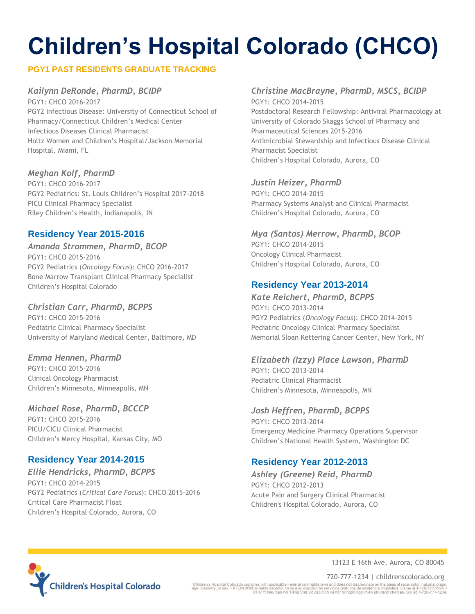### **PGY1 PAST RESIDENTS GRADUATE TRACKING**

### *Kailynn DeRonde, PharmD, BCIDP*

PGY1: CHCO 2016-2017 PGY2 Infectious Disease: University of Connecticut School of Pharmacy/Connecticut Children's Medical Center Infectious Diseases Clinical Pharmacist Holtz Women and Children's Hospital/Jackson Memorial Hospital. Miami, FL

### *Meghan Kolf, PharmD*

PGY1: CHCO 2016-2017 PGY2 Pediatrics: St. Louis Children's Hospital 2017-2018 PICU Clinical Pharmacy Specialist Riley Children's Health, Indianapolis, IN

### **Residency Year 2015-2016**

*Amanda Strommen, PharmD, BCOP*  PGY1: CHCO 2015-2016 PGY2 Pediatrics (*Oncology Focus*): CHCO 2016-2017 Bone Marrow Transplant Clinical Pharmacy Specialist Children's Hospital Colorado

### *Christian Carr, PharmD, BCPPS*

PGY1: CHCO 2015-2016 Pediatric Clinical Pharmacy Specialist University of Maryland Medical Center, Baltimore, MD

### *Emma Hennen, PharmD*

PGY1: CHCO 2015-2016 Clinical Oncology Pharmacist Children's Minnesota, Minneapolis, MN

### *Michael Rose, PharmD, BCCCP*

PGY1: CHCO 2015-2016 PICU/CICU Clinical Pharmacist Children's Mercy Hospital, Kansas City, MO

### **Residency Year 2014-2015**

*Ellie Hendricks, PharmD, BCPPS* PGY1: CHCO 2014-2015 PGY2 Pediatrics (*Critical Care Focus*): CHCO 2015-2016 Critical Care Pharmacist Float Children's Hospital Colorado, Aurora, CO

### *Christine MacBrayne, PharmD, MSCS, BCIDP*

PGY1: CHCO 2014-2015 Postdoctoral Research Fellowship: Antiviral Pharmacology at University of Colorado Skaggs School of Pharmacy and Pharmaceutical Sciences 2015-2016 Antimicrobial Stewardship and Infectious Disease Clinical Pharmacist Specialist Children's Hospital Colorado, Aurora, CO

### *Justin Heizer, PharmD*

PGY1: CHCO 2014-2015 Pharmacy Systems Analyst and Clinical Pharmacist Children's Hospital Colorado, Aurora, CO

### *Mya (Santos) Merrow, PharmD, BCOP*

PGY1: CHCO 2014-2015 Oncology Clinical Pharmacist Children's Hospital Colorado, Aurora, CO

### **Residency Year 2013-2014**

### *Kate Reichert, PharmD, BCPPS* PGY1: CHCO 2013-2014 PGY2 Pediatrics (*Oncology Focus*): CHCO 2014-2015 Pediatric Oncology Clinical Pharmacy Specialist Memorial Sloan Kettering Cancer Center, New York, NY

### *Elizabeth (Izzy) Place Lawson, PharmD*

PGY1: CHCO 2013-2014 Pediatric Clinical Pharmacist Children's Minnesota, Minneapolis, MN

### *Josh Heffren, PharmD, BCPPS*

PGY1: CHCO 2013-2014 Emergency Medicine Pharmacy Operations Supervisor Children's National Health System, Washington DC

# **Residency Year 2012-2013**

*Ashley (Greene) Reid, PharmD* PGY1: CHCO 2012-2013 Acute Pain and Surgery Clinical Pharmacist Children's Hospital Colorado, Aurora, CO



13123 E 16th Ave, Aurora, CO 80045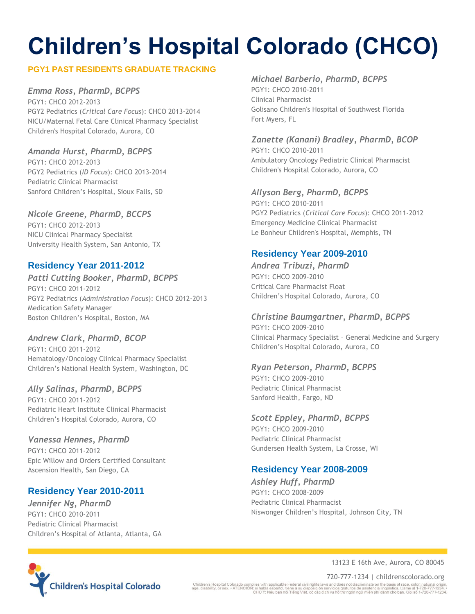### **PGY1 PAST RESIDENTS GRADUATE TRACKING**

### *Emma Ross, PharmD, BCPPS*

PGY1: CHCO 2012-2013 PGY2 Pediatrics (*Critical Care Focus*): CHCO 2013-2014 NICU/Maternal Fetal Care Clinical Pharmacy Specialist Children's Hospital Colorado, Aurora, CO

### *Amanda Hurst, PharmD, BCPPS*

PGY1: CHCO 2012-2013 PGY2 Pediatrics (*ID Focus*): CHCO 2013-2014 Pediatric Clinical Pharmacist Sanford Children's Hospital, Sioux Falls, SD

### *Nicole Greene, PharmD, BCCPS*

PGY1: CHCO 2012-2013 NICU Clinical Pharmacy Specialist University Health System, San Antonio, TX

### **Residency Year 2011-2012**

### *Patti Cutting Booker, PharmD, BCPPS*

PGY1: CHCO 2011-2012 PGY2 Pediatrics (*Administration Focus*): CHCO 2012-2013 Medication Safety Manager Boston Children's Hospital, Boston, MA

### *Andrew Clark, PharmD, BCOP*

PGY1: CHCO 2011-2012 Hematology/Oncology Clinical Pharmacy Specialist Children's National Health System, Washington, DC

### *Ally Salinas, PharmD, BCPPS*

PGY1: CHCO 2011-2012 Pediatric Heart Institute Clinical Pharmacist Children's Hospital Colorado, Aurora, CO

### *Vanessa Hennes, PharmD*

PGY1: CHCO 2011-2012 Epic Willow and Orders Certified Consultant Ascension Health, San Diego, CA

### **Residency Year 2010-2011**

*Jennifer Ng, PharmD*  PGY1: CHCO 2010-2011 Pediatric Clinical Pharmacist Children's Hospital of Atlanta, Atlanta, GA

### *Michael Barberio, PharmD, BCPPS*

PGY1: CHCO 2010-2011 Clinical Pharmacist Golisano Children's Hospital of Southwest Florida Fort Myers, FL

### *Zanette (Kanani) Bradley, PharmD, BCOP*

PGY1: CHCO 2010-2011 Ambulatory Oncology Pediatric Clinical Pharmacist Children's Hospital Colorado, Aurora, CO

### *Allyson Berg, PharmD, BCPPS*

PGY1: CHCO 2010-2011 PGY2 Pediatrics (*Critical Care Focus*): CHCO 2011-2012 Emergency Medicine Clinical Pharmacist Le Bonheur Children's Hospital, Memphis, TN

### **Residency Year 2009-2010**

*Andrea Tribuzi, PharmD* PGY1: CHCO 2009-2010 Critical Care Pharmacist Float Children's Hospital Colorado, Aurora, CO

### *Christine Baumgartner, PharmD, BCPPS*

PGY1: CHCO 2009-2010 Clinical Pharmacy Specialist – General Medicine and Surgery Children's Hospital Colorado, Aurora, CO

### *Ryan Peterson, PharmD, BCPPS*

PGY1: CHCO 2009-2010 Pediatric Clinical Pharmacist Sanford Health, Fargo, ND

### *Scott Eppley, PharmD, BCPPS*

PGY1: CHCO 2009-2010 Pediatric Clinical Pharmacist Gundersen Health System, La Crosse, WI

### **Residency Year 2008-2009**

*Ashley Huff, PharmD* PGY1: CHCO 2008-2009 Pediatric Clinical Pharmacist Niswonger Children's Hospital, Johnson City, TN



13123 E 16th Ave, Aurora, CO 80045